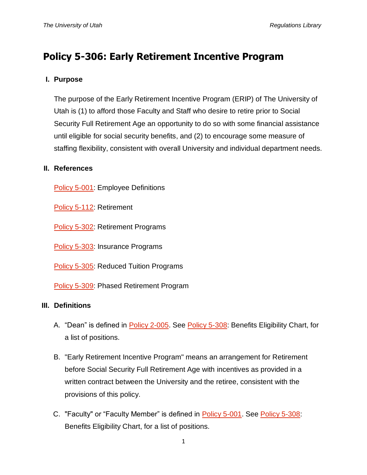# **Policy 5-306: Early Retirement Incentive Program**

## **I. Purpose**

The purpose of the Early Retirement Incentive Program (ERIP) of The University of Utah is (1) to afford those Faculty and Staff who desire to retire prior to Social Security Full Retirement Age an opportunity to do so with some financial assistance until eligible for social security benefits, and (2) to encourage some measure of staffing flexibility, consistent with overall University and individual department needs.

#### **II. References**

[Policy 5-001:](http://regulations.utah.edu/human-resources/5-001.php) Employee Definitions

[Policy 5-112:](http://regulations.utah.edu/human-resources/5-112.php) Retirement

[Policy 5-302:](http://regulations.utah.edu/human-resources/5-302.php) Retirement Programs

[Policy 5-303:](http://regulations.utah.edu/human-resources/5-303.php) Insurance Programs

**[Policy 5-305:](http://regulations.utah.edu/human-resources/5-305.php) Reduced Tuition Programs** 

[Policy 5-309:](http://regulations.utah.edu/human-resources/5-309.php) Phased Retirement Program

#### **III. Definitions**

- A. "Dean" is defined in [Policy 2-005.](http://regulations.utah.edu/u-organizations/2-005.php) See [Policy 5-308:](http://regulations.utah.edu/human-resources/5-308.php) Benefits Eligibility Chart, for a list of positions.
- B. "Early Retirement Incentive Program" means an arrangement for Retirement before Social Security Full Retirement Age with incentives as provided in a written contract between the University and the retiree, consistent with the provisions of this policy.
- C. "Faculty" or "Faculty Member" is defined in [Policy 5-001.](http://regulations.utah.edu/human-resources/5-001.php) See [Policy 5-308:](http://regulations.utah.edu/human-resources/5-308.php) Benefits Eligibility Chart, for a list of positions.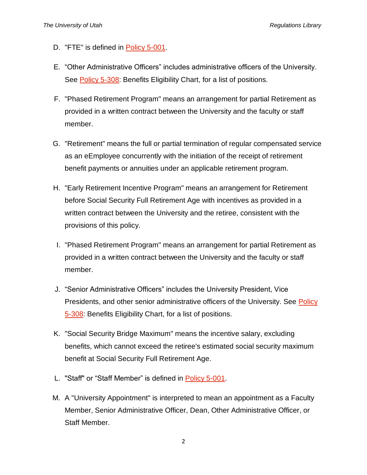- D. "FTE" is defined in [Policy 5-001.](http://regulations.utah.edu/human-resources/5-001.php)
- E. "Other Administrative Officers" includes administrative officers of the University. See [Policy 5-308:](http://regulations.utah.edu/human-resources/5-308.php) Benefits Eligibility Chart, for a list of positions.
- F. "Phased Retirement Program" means an arrangement for partial Retirement as provided in a written contract between the University and the faculty or staff member.
- G. "Retirement" means the full or partial termination of regular compensated service as an eEmployee concurrently with the initiation of the receipt of retirement benefit payments or annuities under an applicable retirement program.
- H. "Early Retirement Incentive Program" means an arrangement for Retirement before Social Security Full Retirement Age with incentives as provided in a written contract between the University and the retiree, consistent with the provisions of this policy.
- I. "Phased Retirement Program" means an arrangement for partial Retirement as provided in a written contract between the University and the faculty or staff member.
- J. "Senior Administrative Officers" includes the University President, Vice Presidents, and other senior administrative officers of the University. See Policy [5-308:](http://regulations.utah.edu/human-resources/5-308.php) Benefits Eligibility Chart, for a list of positions.
- K. "Social Security Bridge Maximum" means the incentive salary, excluding benefits, which cannot exceed the retiree's estimated social security maximum benefit at Social Security Full Retirement Age.
- L. "Staff" or "Staff Member" is defined in [Policy 5-001.](http://regulations.utah.edu/human-resources/5-001.php)
- M. A "University Appointment" is interpreted to mean an appointment as a Faculty Member, Senior Administrative Officer, Dean, Other Administrative Officer, or Staff Member.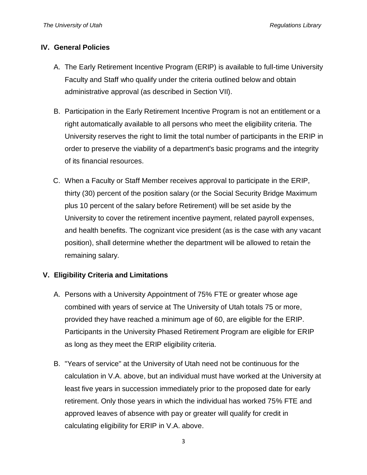#### **IV. General Policies**

- A. The Early Retirement Incentive Program (ERIP) is available to full-time University Faculty and Staff who qualify under the criteria outlined below and obtain administrative approval (as described in Section VII).
- B. Participation in the Early Retirement Incentive Program is not an entitlement or a right automatically available to all persons who meet the eligibility criteria. The University reserves the right to limit the total number of participants in the ERIP in order to preserve the viability of a department's basic programs and the integrity of its financial resources.
- C. When a Faculty or Staff Member receives approval to participate in the ERIP, thirty (30) percent of the position salary (or the Social Security Bridge Maximum plus 10 percent of the salary before Retirement) will be set aside by the University to cover the retirement incentive payment, related payroll expenses, and health benefits. The cognizant vice president (as is the case with any vacant position), shall determine whether the department will be allowed to retain the remaining salary.

## **V. Eligibility Criteria and Limitations**

- A. Persons with a University Appointment of 75% FTE or greater whose age combined with years of service at The University of Utah totals 75 or more, provided they have reached a minimum age of 60, are eligible for the ERIP. Participants in the University Phased Retirement Program are eligible for ERIP as long as they meet the ERIP eligibility criteria.
- B. "Years of service" at the University of Utah need not be continuous for the calculation in V.A. above, but an individual must have worked at the University at least five years in succession immediately prior to the proposed date for early retirement. Only those years in which the individual has worked 75% FTE and approved leaves of absence with pay or greater will qualify for credit in calculating eligibility for ERIP in V.A. above.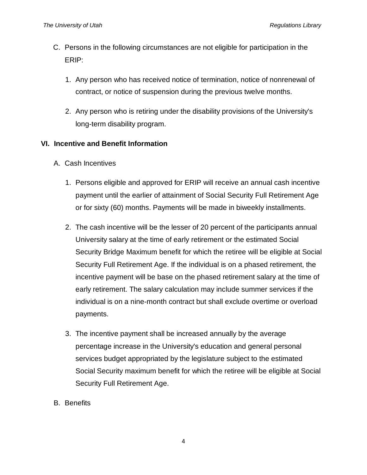- C. Persons in the following circumstances are not eligible for participation in the ERIP:
	- 1. Any person who has received notice of termination, notice of nonrenewal of contract, or notice of suspension during the previous twelve months.
	- 2. Any person who is retiring under the disability provisions of the University's long-term disability program.

## **VI. Incentive and Benefit Information**

- A. Cash Incentives
	- 1. Persons eligible and approved for ERIP will receive an annual cash incentive payment until the earlier of attainment of Social Security Full Retirement Age or for sixty (60) months. Payments will be made in biweekly installments.
	- 2. The cash incentive will be the lesser of 20 percent of the participants annual University salary at the time of early retirement or the estimated Social Security Bridge Maximum benefit for which the retiree will be eligible at Social Security Full Retirement Age. If the individual is on a phased retirement, the incentive payment will be base on the phased retirement salary at the time of early retirement. The salary calculation may include summer services if the individual is on a nine-month contract but shall exclude overtime or overload payments.
	- 3. The incentive payment shall be increased annually by the average percentage increase in the University's education and general personal services budget appropriated by the legislature subject to the estimated Social Security maximum benefit for which the retiree will be eligible at Social Security Full Retirement Age.
- B. Benefits

4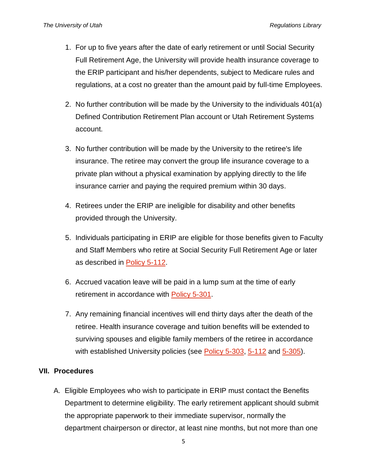- 1. For up to five years after the date of early retirement or until Social Security Full Retirement Age, the University will provide health insurance coverage to the ERIP participant and his/her dependents, subject to Medicare rules and regulations, at a cost no greater than the amount paid by full-time Employees.
- 2. No further contribution will be made by the University to the individuals 401(a) Defined Contribution Retirement Plan account or Utah Retirement Systems account.
- 3. No further contribution will be made by the University to the retiree's life insurance. The retiree may convert the group life insurance coverage to a private plan without a physical examination by applying directly to the life insurance carrier and paying the required premium within 30 days.
- 4. Retirees under the ERIP are ineligible for disability and other benefits provided through the University.
- 5. Individuals participating in ERIP are eligible for those benefits given to Faculty and Staff Members who retire at Social Security Full Retirement Age or later as described in [Policy 5-112.](http://regulations.utah.edu/human-resources/5-112.php)
- 6. Accrued vacation leave will be paid in a lump sum at the time of early retirement in accordance with [Policy 5-301.](http://regulations.utah.edu/human-resources/5-301.php)
- 7. Any remaining financial incentives will end thirty days after the death of the retiree. Health insurance coverage and tuition benefits will be extended to surviving spouses and eligible family members of the retiree in accordance with established University policies (see [Policy 5-303,](http://regulations.utah.edu/human-resources/5-303.php) [5-112](http://regulations.utah.edu/human-resources/5-112.php) and [5-305\)](http://regulations.utah.edu/human-resources/5-305.php).

## **VII. Procedures**

A. Eligible Employees who wish to participate in ERIP must contact the Benefits Department to determine eligibility. The early retirement applicant should submit the appropriate paperwork to their immediate supervisor, normally the department chairperson or director, at least nine months, but not more than one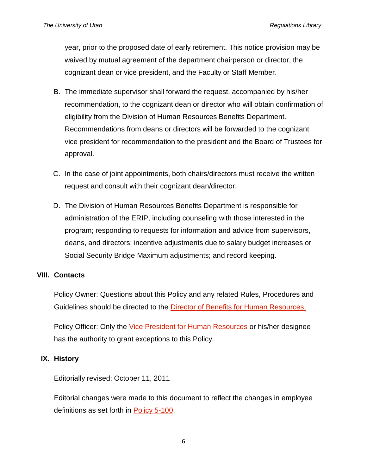year, prior to the proposed date of early retirement. This notice provision may be waived by mutual agreement of the department chairperson or director, the cognizant dean or vice president, and the Faculty or Staff Member.

- B. The immediate supervisor shall forward the request, accompanied by his/her recommendation, to the cognizant dean or director who will obtain confirmation of eligibility from the Division of Human Resources Benefits Department. Recommendations from deans or directors will be forwarded to the cognizant vice president for recommendation to the president and the Board of Trustees for approval.
- C. In the case of joint appointments, both chairs/directors must receive the written request and consult with their cognizant dean/director.
- D. The Division of Human Resources Benefits Department is responsible for administration of the ERIP, including counseling with those interested in the program; responding to requests for information and advice from supervisors, deans, and directors; incentive adjustments due to salary budget increases or Social Security Bridge Maximum adjustments; and record keeping.

#### **VIII. Contacts**

Policy Owner: Questions about this Policy and any related Rules, Procedures and Guidelines should be directed to the [Director of Benefits for Human Resources.](http://regulations.utah.edu/info/index.php)

Policy Officer: Only the [Vice President for Human Resources](http://regulations.utah.edu/info/index.php) or his/her designee has the authority to grant exceptions to this Policy.

## **IX. History**

Editorially revised: October 11, 2011

Editorial changes were made to this document to reflect the changes in employee definitions as set forth in [Policy 5-100.](http://regulations.utah.edu/human-resources/5-001.php)